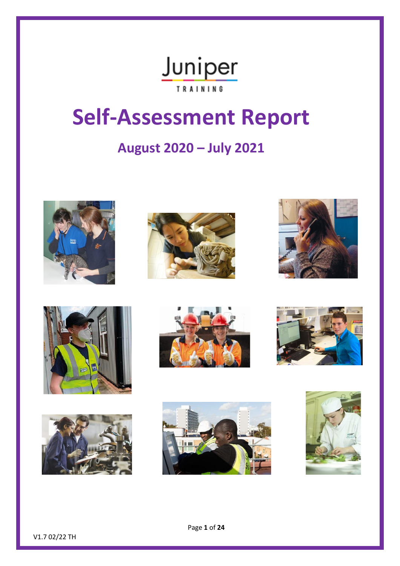# Juniper **TRAINING**

# **Self-Assessment Report**

# **August 2020 – July 2021**



















V1.7 02/22 TH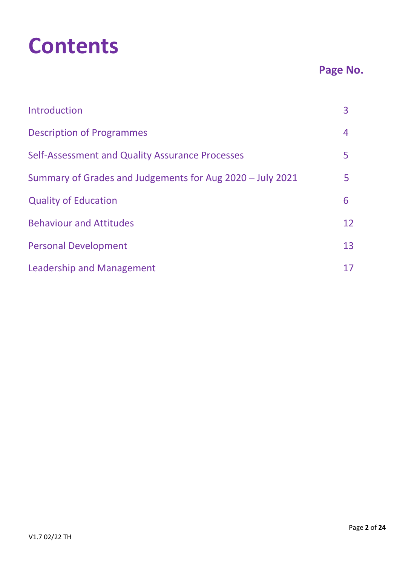# **Contents**

# **Page No.**

| Introduction                                              | 3  |
|-----------------------------------------------------------|----|
| <b>Description of Programmes</b>                          | 4  |
| Self-Assessment and Quality Assurance Processes           | 5  |
| Summary of Grades and Judgements for Aug 2020 - July 2021 | 5  |
| <b>Quality of Education</b>                               | 6  |
| <b>Behaviour and Attitudes</b>                            | 12 |
| <b>Personal Development</b>                               | 13 |
| Leadership and Management                                 | 17 |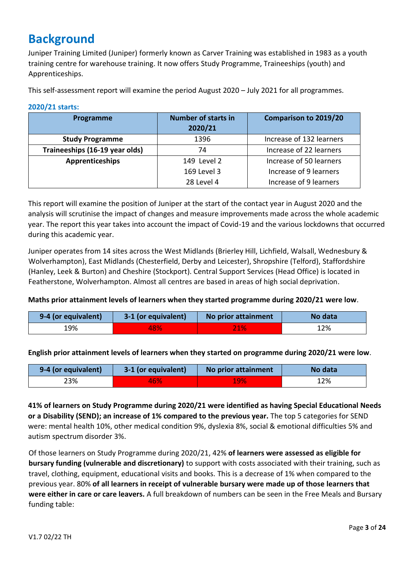# **Background**

Juniper Training Limited (Juniper) formerly known as Carver Training was established in 1983 as a youth training centre for warehouse training. It now offers Study Programme, Traineeships (youth) and Apprenticeships.

This self-assessment report will examine the period August 2020 – July 2021 for all programmes.

| Programme                      | Number of starts in<br>2020/21 | <b>Comparison to 2019/20</b> |
|--------------------------------|--------------------------------|------------------------------|
| <b>Study Programme</b>         | 1396                           | Increase of 132 learners     |
| Traineeships (16-19 year olds) | 74                             | Increase of 22 learners      |
| Apprenticeships                | 149 Level 2                    | Increase of 50 learners      |
|                                | 169 Level 3                    | Increase of 9 learners       |
|                                | 28 Level 4                     | Increase of 9 learners       |

#### **2020/21 starts:**

This report will examine the position of Juniper at the start of the contact year in August 2020 and the analysis will scrutinise the impact of changes and measure improvements made across the whole academic year. The report this year takes into account the impact of Covid-19 and the various lockdowns that occurred during this academic year.

Juniper operates from 14 sites across the West Midlands (Brierley Hill, Lichfield, Walsall, Wednesbury & Wolverhampton), East Midlands (Chesterfield, Derby and Leicester), Shropshire (Telford), Staffordshire (Hanley, Leek & Burton) and Cheshire (Stockport). Central Support Services (Head Office) is located in Featherstone, Wolverhampton. Almost all centres are based in areas of high social deprivation.

#### **Maths prior attainment levels of learners when they started programme during 2020/21 were low**.

| 9-4 (or equivalent) | 3-1 (or equivalent) | No prior attainment | No data |
|---------------------|---------------------|---------------------|---------|
| .9%                 | 48%                 |                     | 12%     |

**English prior attainment levels of learners when they started on programme during 2020/21 were low**.

| 9-4 (or equivalent) | 3-1 (or equivalent) | No prior attainment | No data |
|---------------------|---------------------|---------------------|---------|
| 23%                 | 46%                 | 19%                 | 12%     |

**41% of learners on Study Programme during 2020/21 were identified as having Special Educational Needs or a Disability (SEND); an increase of 1% compared to the previous year.** The top 5 categories for SEND were: mental health 10%, other medical condition 9%, dyslexia 8%, social & emotional difficulties 5% and autism spectrum disorder 3%.

Of those learners on Study Programme during 2020/21, 42% **of learners were assessed as eligible for bursary funding (vulnerable and discretionary)** to support with costs associated with their training, such as travel, clothing, equipment, educational visits and books. This is a decrease of 1% when compared to the previous year. 80% **of all learners in receipt of vulnerable bursary were made up of those learners that were either in care or care leavers.** A full breakdown of numbers can be seen in the Free Meals and Bursary funding table: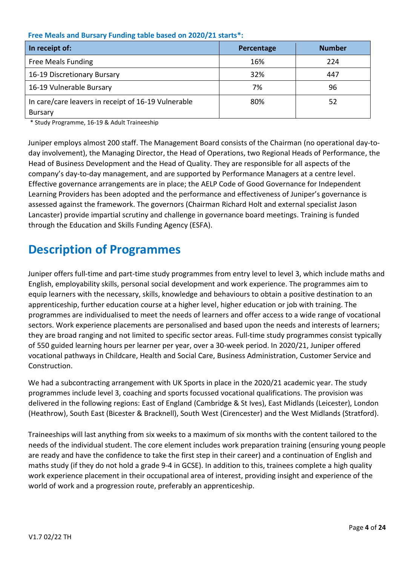#### **Free Meals and Bursary Funding table based on 2020/21 starts\*:**

| In receipt of:                                      | Percentage | <b>Number</b> |
|-----------------------------------------------------|------------|---------------|
| <b>Free Meals Funding</b>                           | 16%        | 224           |
| 16-19 Discretionary Bursary                         | 32%        | 447           |
| 16-19 Vulnerable Bursary                            | 7%         | 96            |
| In care/care leavers in receipt of 16-19 Vulnerable | 80%        | 52            |
| <b>Bursary</b>                                      |            |               |

\* Study Programme, 16-19 & Adult Traineeship

Juniper employs almost 200 staff. The Management Board consists of the Chairman (no operational day-today involvement), the Managing Director, the Head of Operations, two Regional Heads of Performance, the Head of Business Development and the Head of Quality. They are responsible for all aspects of the company's day-to-day management, and are supported by Performance Managers at a centre level. Effective governance arrangements are in place; the AELP Code of Good Governance for Independent Learning Providers has been adopted and the performance and effectiveness of Juniper's governance is assessed against the framework. The governors (Chairman Richard Holt and external specialist Jason Lancaster) provide impartial scrutiny and challenge in governance board meetings. Training is funded through the Education and Skills Funding Agency (ESFA).

# **Description of Programmes**

Juniper offers full-time and part-time study programmes from entry level to level 3, which include maths and English, employability skills, personal social development and work experience. The programmes aim to equip learners with the necessary, skills, knowledge and behaviours to obtain a positive destination to an apprenticeship, further education course at a higher level, higher education or job with training. The programmes are individualised to meet the needs of learners and offer access to a wide range of vocational sectors. Work experience placements are personalised and based upon the needs and interests of learners; they are broad ranging and not limited to specific sector areas. Full-time study programmes consist typically of 550 guided learning hours per learner per year, over a 30-week period. In 2020/21, Juniper offered vocational pathways in Childcare, Health and Social Care, Business Administration, Customer Service and Construction.

We had a subcontracting arrangement with UK Sports in place in the 2020/21 academic year. The study programmes include level 3, coaching and sports focussed vocational qualifications. The provision was delivered in the following regions: East of England (Cambridge & St Ives), East Midlands (Leicester), London (Heathrow), South East (Bicester & Bracknell), South West (Cirencester) and the West Midlands (Stratford).

Traineeships will last anything from six weeks to a maximum of six months with the content tailored to the needs of the individual student. The core element includes work preparation training (ensuring young people are ready and have the confidence to take the first step in their career) and a continuation of English and maths study (if they do not hold a grade 9-4 in GCSE). In addition to this, trainees complete a high quality work experience placement in their occupational area of interest, providing insight and experience of the world of work and a progression route, preferably an apprenticeship.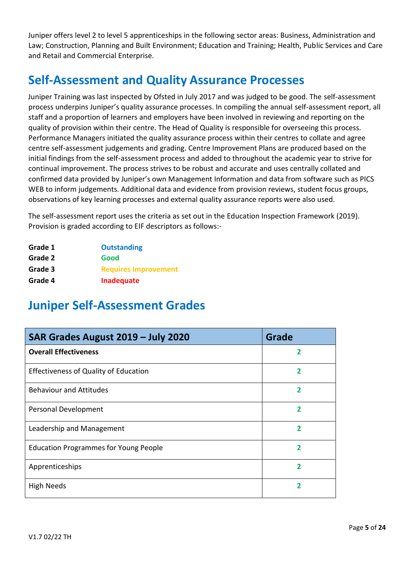Juniper offers level 2 to level 5 apprenticeships in the following sector areas: Business, Administration and Law; Construction, Planning and Built Environment; Education and Training; Health, Public Services and Care and Retail and Commercial Enterprise.

# **Self-Assessment and Quality Assurance Processes**

Juniper Training was last inspected by Ofsted in July 2017 and was judged to be good. The self-assessment process underpins Juniper's quality assurance processes. In compiling the annual self-assessment report, all staff and a proportion of learners and employers have been involved in reviewing and reporting on the quality of provision within their centre. The Head of Quality is responsible for overseeing this process. Performance Managers initiated the quality assurance process within their centres to collate and agree centre self-assessment judgements and grading. Centre Improvement Plans are produced based on the initial findings from the self-assessment process and added to throughout the academic year to strive for continual improvement. The process strives to be robust and accurate and uses centrally collated and confirmed data provided by Juniper's own Management Information and data from software such as PICS WEB to inform judgements. Additional data and evidence from provision reviews, student focus groups, observations of key learning processes and external quality assurance reports were also used.

The self-assessment report uses the criteria as set out in the Education Inspection Framework (2019). Provision is graded according to EIF descriptors as follows:-

| Grade 1 | <b>Outstanding</b>          |
|---------|-----------------------------|
| Grade 2 | Good                        |
| Grade 3 | <b>Requires Improvement</b> |
| Grade 4 | Inadequate                  |

# **Juniper Self-Assessment Grades**

| SAR Grades August 2019 - July 2020           | Grade |
|----------------------------------------------|-------|
| <b>Overall Effectiveness</b>                 | 2     |
| <b>Effectiveness of Quality of Education</b> |       |
| <b>Behaviour and Attitudes</b>               |       |
| Personal Development                         | 2     |
| Leadership and Management                    | 2     |
| <b>Education Programmes for Young People</b> |       |
| Apprenticeships                              |       |
| <b>High Needs</b>                            |       |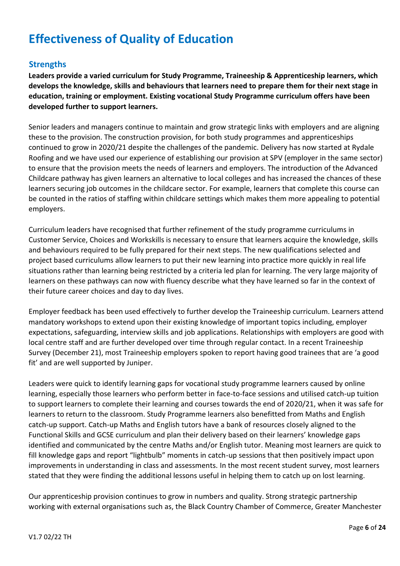# **Effectiveness of Quality of Education**

# **Strengths**

**Leaders provide a varied curriculum for Study Programme, Traineeship & Apprenticeship learners, which develops the knowledge, skills and behaviours that learners need to prepare them for their next stage in education, training or employment. Existing vocational Study Programme curriculum offers have been developed further to support learners.**

Senior leaders and managers continue to maintain and grow strategic links with employers and are aligning these to the provision. The construction provision, for both study programmes and apprenticeships continued to grow in 2020/21 despite the challenges of the pandemic. Delivery has now started at Rydale Roofing and we have used our experience of establishing our provision at SPV (employer in the same sector) to ensure that the provision meets the needs of learners and employers. The introduction of the Advanced Childcare pathway has given learners an alternative to local colleges and has increased the chances of these learners securing job outcomes in the childcare sector. For example, learners that complete this course can be counted in the ratios of staffing within childcare settings which makes them more appealing to potential employers.

Curriculum leaders have recognised that further refinement of the study programme curriculums in Customer Service, Choices and Workskills is necessary to ensure that learners acquire the knowledge, skills and behaviours required to be fully prepared for their next steps. The new qualifications selected and project based curriculums allow learners to put their new learning into practice more quickly in real life situations rather than learning being restricted by a criteria led plan for learning. The very large majority of learners on these pathways can now with fluency describe what they have learned so far in the context of their future career choices and day to day lives.

Employer feedback has been used effectively to further develop the Traineeship curriculum. Learners attend mandatory workshops to extend upon their existing knowledge of important topics including, employer expectations, safeguarding, interview skills and job applications. Relationships with employers are good with local centre staff and are further developed over time through regular contact. In a recent Traineeship Survey (December 21), most Traineeship employers spoken to report having good trainees that are 'a good fit' and are well supported by Juniper.

Leaders were quick to identify learning gaps for vocational study programme learners caused by online learning, especially those learners who perform better in face-to-face sessions and utilised catch-up tuition to support learners to complete their learning and courses towards the end of 2020/21, when it was safe for learners to return to the classroom. Study Programme learners also benefitted from Maths and English catch-up support. Catch-up Maths and English tutors have a bank of resources closely aligned to the Functional Skills and GCSE curriculum and plan their delivery based on their learners' knowledge gaps identified and communicated by the centre Maths and/or English tutor. Meaning most learners are quick to fill knowledge gaps and report "lightbulb" moments in catch-up sessions that then positively impact upon improvements in understanding in class and assessments. In the most recent student survey, most learners stated that they were finding the additional lessons useful in helping them to catch up on lost learning.

Our apprenticeship provision continues to grow in numbers and quality. Strong strategic partnership working with external organisations such as, the Black Country Chamber of Commerce, Greater Manchester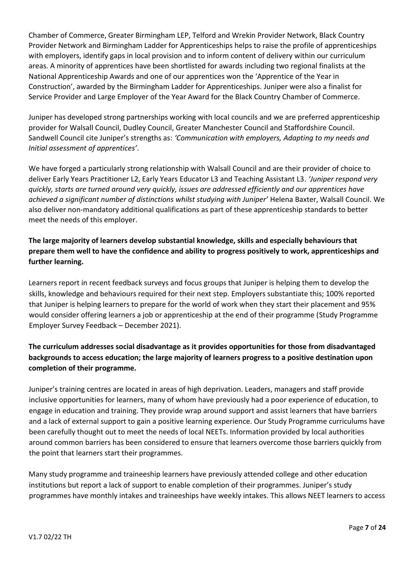Chamber of Commerce, Greater Birmingham LEP, Telford and Wrekin Provider Network, Black Country Provider Network and Birmingham Ladder for Apprenticeships helps to raise the profile of apprenticeships with employers, identify gaps in local provision and to inform content of delivery within our curriculum areas. A minority of apprentices have been shortlisted for awards including two regional finalists at the National Apprenticeship Awards and one of our apprentices won the 'Apprentice of the Year in Construction', awarded by the Birmingham Ladder for Apprenticeships. Juniper were also a finalist for Service Provider and Large Employer of the Year Award for the Black Country Chamber of Commerce.

Juniper has developed strong partnerships working with local councils and we are preferred apprenticeship provider for Walsall Council, Dudley Council, Greater Manchester Council and Staffordshire Council. Sandwell Council cite Juniper's strengths as: *'Communication with employers, Adapting to my needs and Initial assessment of apprentices'*.

We have forged a particularly strong relationship with Walsall Council and are their provider of choice to deliver Early Years Practitioner L2, Early Years Educator L3 and Teaching Assistant L3. *'Juniper respond very quickly, starts are turned around very quickly, issues are addressed efficiently and our apprentices have achieved a significant number of distinctions whilst studying with Juniper'* Helena Baxter, Walsall Council. We also deliver non-mandatory additional qualifications as part of these apprenticeship standards to better meet the needs of this employer.

# **The large majority of learners develop substantial knowledge, skills and especially behaviours that prepare them well to have the confidence and ability to progress positively to work, apprenticeships and further learning.**

Learners report in recent feedback surveys and focus groups that Juniper is helping them to develop the skills, knowledge and behaviours required for their next step. Employers substantiate this; 100% reported that Juniper is helping learners to prepare for the world of work when they start their placement and 95% would consider offering learners a job or apprenticeship at the end of their programme (Study Programme Employer Survey Feedback – December 2021).

# **The curriculum addresses social disadvantage as it provides opportunities for those from disadvantaged backgrounds to access education; the large majority of learners progress to a positive destination upon completion of their programme.**

Juniper's training centres are located in areas of high deprivation. Leaders, managers and staff provide inclusive opportunities for learners, many of whom have previously had a poor experience of education, to engage in education and training. They provide wrap around support and assist learners that have barriers and a lack of external support to gain a positive learning experience. Our Study Programme curriculums have been carefully thought out to meet the needs of local NEETs. Information provided by local authorities around common barriers has been considered to ensure that learners overcome those barriers quickly from the point that learners start their programmes.

Many study programme and traineeship learners have previously attended college and other education institutions but report a lack of support to enable completion of their programmes. Juniper's study programmes have monthly intakes and traineeships have weekly intakes. This allows NEET learners to access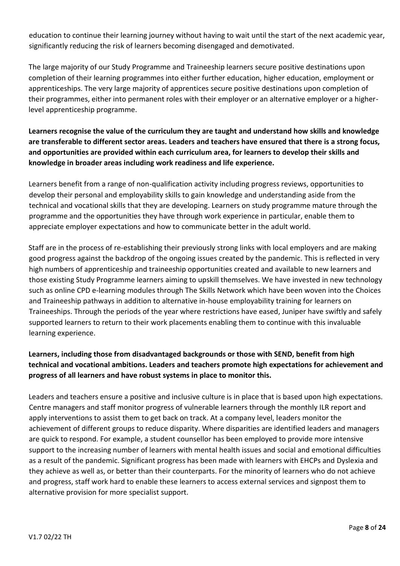education to continue their learning journey without having to wait until the start of the next academic year, significantly reducing the risk of learners becoming disengaged and demotivated.

The large majority of our Study Programme and Traineeship learners secure positive destinations upon completion of their learning programmes into either further education, higher education, employment or apprenticeships. The very large majority of apprentices secure positive destinations upon completion of their programmes, either into permanent roles with their employer or an alternative employer or a higherlevel apprenticeship programme.

**Learners recognise the value of the curriculum they are taught and understand how skills and knowledge are transferable to different sector areas. Leaders and teachers have ensured that there is a strong focus, and opportunities are provided within each curriculum area, for learners to develop their skills and knowledge in broader areas including work readiness and life experience.** 

Learners benefit from a range of non-qualification activity including progress reviews, opportunities to develop their personal and employability skills to gain knowledge and understanding aside from the technical and vocational skills that they are developing. Learners on study programme mature through the programme and the opportunities they have through work experience in particular, enable them to appreciate employer expectations and how to communicate better in the adult world.

Staff are in the process of re-establishing their previously strong links with local employers and are making good progress against the backdrop of the ongoing issues created by the pandemic. This is reflected in very high numbers of apprenticeship and traineeship opportunities created and available to new learners and those existing Study Programme learners aiming to upskill themselves. We have invested in new technology such as online CPD e-learning modules through The Skills Network which have been woven into the Choices and Traineeship pathways in addition to alternative in-house employability training for learners on Traineeships. Through the periods of the year where restrictions have eased, Juniper have swiftly and safely supported learners to return to their work placements enabling them to continue with this invaluable learning experience.

# **Learners, including those from disadvantaged backgrounds or those with SEND, benefit from high technical and vocational ambitions. Leaders and teachers promote high expectations for achievement and progress of all learners and have robust systems in place to monitor this.**

Leaders and teachers ensure a positive and inclusive culture is in place that is based upon high expectations. Centre managers and staff monitor progress of vulnerable learners through the monthly ILR report and apply interventions to assist them to get back on track. At a company level, leaders monitor the achievement of different groups to reduce disparity. Where disparities are identified leaders and managers are quick to respond. For example, a student counsellor has been employed to provide more intensive support to the increasing number of learners with mental health issues and social and emotional difficulties as a result of the pandemic. Significant progress has been made with learners with EHCPs and Dyslexia and they achieve as well as, or better than their counterparts. For the minority of learners who do not achieve and progress, staff work hard to enable these learners to access external services and signpost them to alternative provision for more specialist support.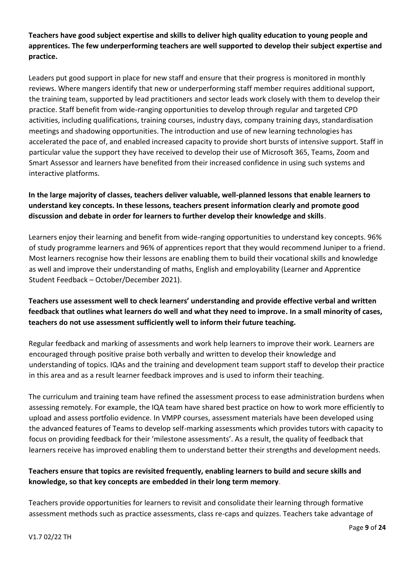**Teachers have good subject expertise and skills to deliver high quality education to young people and apprentices. The few underperforming teachers are well supported to develop their subject expertise and practice.** 

Leaders put good support in place for new staff and ensure that their progress is monitored in monthly reviews. Where mangers identify that new or underperforming staff member requires additional support, the training team, supported by lead practitioners and sector leads work closely with them to develop their practice. Staff benefit from wide-ranging opportunities to develop through regular and targeted CPD activities, including qualifications, training courses, industry days, company training days, standardisation meetings and shadowing opportunities. The introduction and use of new learning technologies has accelerated the pace of, and enabled increased capacity to provide short bursts of intensive support. Staff in particular value the support they have received to develop their use of Microsoft 365, Teams, Zoom and Smart Assessor and learners have benefited from their increased confidence in using such systems and interactive platforms.

# **In the large majority of classes, teachers deliver valuable, well-planned lessons that enable learners to understand key concepts. In these lessons, teachers present information clearly and promote good discussion and debate in order for learners to further develop their knowledge and skills**.

Learners enjoy their learning and benefit from wide-ranging opportunities to understand key concepts. 96% of study programme learners and 96% of apprentices report that they would recommend Juniper to a friend. Most learners recognise how their lessons are enabling them to build their vocational skills and knowledge as well and improve their understanding of maths, English and employability (Learner and Apprentice Student Feedback – October/December 2021).

# **Teachers use assessment well to check learners' understanding and provide effective verbal and written feedback that outlines what learners do well and what they need to improve. In a small minority of cases, teachers do not use assessment sufficiently well to inform their future teaching.**

Regular feedback and marking of assessments and work help learners to improve their work. Learners are encouraged through positive praise both verbally and written to develop their knowledge and understanding of topics. IQAs and the training and development team support staff to develop their practice in this area and as a result learner feedback improves and is used to inform their teaching.

The curriculum and training team have refined the assessment process to ease administration burdens when assessing remotely. For example, the IQA team have shared best practice on how to work more efficiently to upload and assess portfolio evidence. In VMPP courses, assessment materials have been developed using the advanced features of Teams to develop self-marking assessments which provides tutors with capacity to focus on providing feedback for their 'milestone assessments'. As a result, the quality of feedback that learners receive has improved enabling them to understand better their strengths and development needs.

# **Teachers ensure that topics are revisited frequently, enabling learners to build and secure skills and knowledge, so that key concepts are embedded in their long term memory**.

Teachers provide opportunities for learners to revisit and consolidate their learning through formative assessment methods such as practice assessments, class re-caps and quizzes. Teachers take advantage of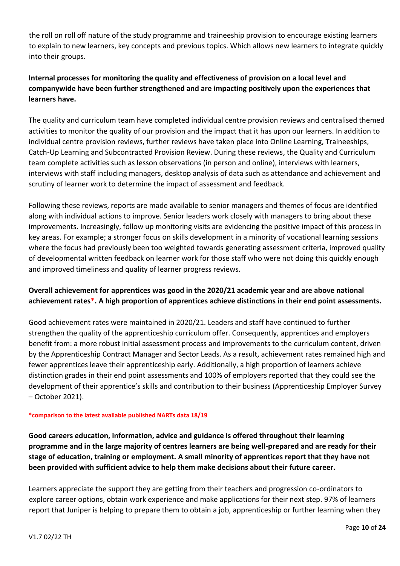the roll on roll off nature of the study programme and traineeship provision to encourage existing learners to explain to new learners, key concepts and previous topics. Which allows new learners to integrate quickly into their groups.

# **Internal processes for monitoring the quality and effectiveness of provision on a local level and companywide have been further strengthened and are impacting positively upon the experiences that learners have.**

The quality and curriculum team have completed individual centre provision reviews and centralised themed activities to monitor the quality of our provision and the impact that it has upon our learners. In addition to individual centre provision reviews, further reviews have taken place into Online Learning, Traineeships, Catch-Up Learning and Subcontracted Provision Review. During these reviews, the Quality and Curriculum team complete activities such as lesson observations (in person and online), interviews with learners, interviews with staff including managers, desktop analysis of data such as attendance and achievement and scrutiny of learner work to determine the impact of assessment and feedback.

Following these reviews, reports are made available to senior managers and themes of focus are identified along with individual actions to improve. Senior leaders work closely with managers to bring about these improvements. Increasingly, follow up monitoring visits are evidencing the positive impact of this process in key areas. For example; a stronger focus on skills development in a minority of vocational learning sessions where the focus had previously been too weighted towards generating assessment criteria, improved quality of developmental written feedback on learner work for those staff who were not doing this quickly enough and improved timeliness and quality of learner progress reviews.

# **Overall achievement for apprentices was good in the 2020/21 academic year and are above national achievement rates\*. A high proportion of apprentices achieve distinctions in their end point assessments.**

Good achievement rates were maintained in 2020/21. Leaders and staff have continued to further strengthen the quality of the apprenticeship curriculum offer. Consequently, apprentices and employers benefit from: a more robust initial assessment process and improvements to the curriculum content, driven by the Apprenticeship Contract Manager and Sector Leads. As a result, achievement rates remained high and fewer apprentices leave their apprenticeship early. Additionally, a high proportion of learners achieve distinction grades in their end point assessments and 100% of employers reported that they could see the development of their apprentice's skills and contribution to their business (Apprenticeship Employer Survey – October 2021).

#### **\*comparison to the latest available published NARTs data 18/19**

**Good careers education, information, advice and guidance is offered throughout their learning programme and in the large majority of centres learners are being well-prepared and are ready for their stage of education, training or employment. A small minority of apprentices report that they have not been provided with sufficient advice to help them make decisions about their future career.** 

Learners appreciate the support they are getting from their teachers and progression co-ordinators to explore career options, obtain work experience and make applications for their next step. 97% of learners report that Juniper is helping to prepare them to obtain a job, apprenticeship or further learning when they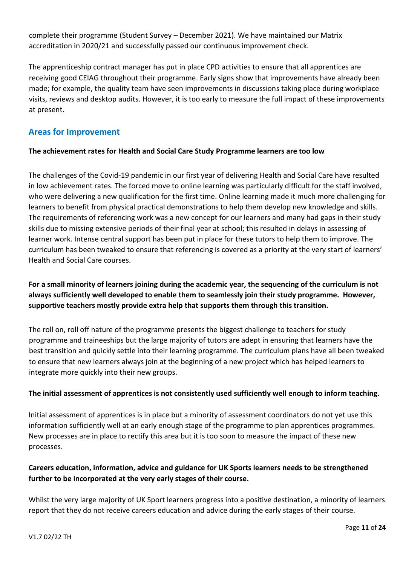complete their programme (Student Survey – December 2021). We have maintained our Matrix accreditation in 2020/21 and successfully passed our continuous improvement check.

The apprenticeship contract manager has put in place CPD activities to ensure that all apprentices are receiving good CEIAG throughout their programme. Early signs show that improvements have already been made; for example, the quality team have seen improvements in discussions taking place during workplace visits, reviews and desktop audits. However, it is too early to measure the full impact of these improvements at present.

# **Areas for Improvement**

# **The achievement rates for Health and Social Care Study Programme learners are too low**

The challenges of the Covid-19 pandemic in our first year of delivering Health and Social Care have resulted in low achievement rates. The forced move to online learning was particularly difficult for the staff involved, who were delivering a new qualification for the first time. Online learning made it much more challenging for learners to benefit from physical practical demonstrations to help them develop new knowledge and skills. The requirements of referencing work was a new concept for our learners and many had gaps in their study skills due to missing extensive periods of their final year at school; this resulted in delays in assessing of learner work. Intense central support has been put in place for these tutors to help them to improve. The curriculum has been tweaked to ensure that referencing is covered as a priority at the very start of learners' Health and Social Care courses.

# **For a small minority of learners joining during the academic year, the sequencing of the curriculum is not always sufficiently well developed to enable them to seamlessly join their study programme. However, supportive teachers mostly provide extra help that supports them through this transition.**

The roll on, roll off nature of the programme presents the biggest challenge to teachers for study programme and traineeships but the large majority of tutors are adept in ensuring that learners have the best transition and quickly settle into their learning programme. The curriculum plans have all been tweaked to ensure that new learners always join at the beginning of a new project which has helped learners to integrate more quickly into their new groups.

## **The initial assessment of apprentices is not consistently used sufficiently well enough to inform teaching.**

Initial assessment of apprentices is in place but a minority of assessment coordinators do not yet use this information sufficiently well at an early enough stage of the programme to plan apprentices programmes. New processes are in place to rectify this area but it is too soon to measure the impact of these new processes.

# **Careers education, information, advice and guidance for UK Sports learners needs to be strengthened further to be incorporated at the very early stages of their course.**

Whilst the very large majority of UK Sport learners progress into a positive destination, a minority of learners report that they do not receive careers education and advice during the early stages of their course.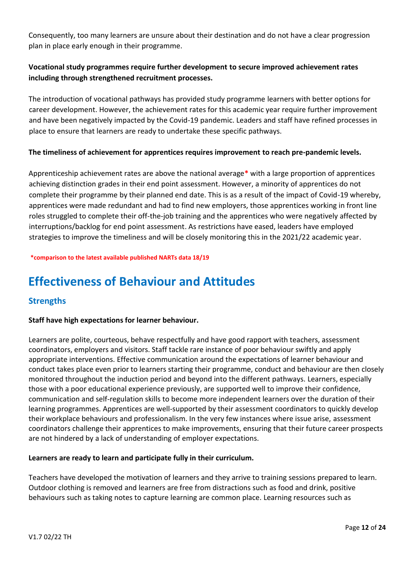Consequently, too many learners are unsure about their destination and do not have a clear progression plan in place early enough in their programme.

# **Vocational study programmes require further development to secure improved achievement rates including through strengthened recruitment processes.**

The introduction of vocational pathways has provided study programme learners with better options for career development. However, the achievement rates for this academic year require further improvement and have been negatively impacted by the Covid-19 pandemic. Leaders and staff have refined processes in place to ensure that learners are ready to undertake these specific pathways.

## **The timeliness of achievement for apprentices requires improvement to reach pre-pandemic levels.**

Apprenticeship achievement rates are above the national average**\*** with a large proportion of apprentices achieving distinction grades in their end point assessment. However, a minority of apprentices do not complete their programme by their planned end date. This is as a result of the impact of Covid-19 whereby, apprentices were made redundant and had to find new employers, those apprentices working in front line roles struggled to complete their off-the-job training and the apprentices who were negatively affected by interruptions/backlog for end point assessment. As restrictions have eased, leaders have employed strategies to improve the timeliness and will be closely monitoring this in the 2021/22 academic year.

**\*comparison to the latest available published NARTs data 18/19** 

# **Effectiveness of Behaviour and Attitudes**

# **Strengths**

## **Staff have high expectations for learner behaviour.**

Learners are polite, courteous, behave respectfully and have good rapport with teachers, assessment coordinators, employers and visitors. Staff tackle rare instance of poor behaviour swiftly and apply appropriate interventions. Effective communication around the expectations of learner behaviour and conduct takes place even prior to learners starting their programme, conduct and behaviour are then closely monitored throughout the induction period and beyond into the different pathways. Learners, especially those with a poor educational experience previously, are supported well to improve their confidence, communication and self-regulation skills to become more independent learners over the duration of their learning programmes. Apprentices are well-supported by their assessment coordinators to quickly develop their workplace behaviours and professionalism. In the very few instances where issue arise, assessment coordinators challenge their apprentices to make improvements, ensuring that their future career prospects are not hindered by a lack of understanding of employer expectations.

## **Learners are ready to learn and participate fully in their curriculum.**

Teachers have developed the motivation of learners and they arrive to training sessions prepared to learn. Outdoor clothing is removed and learners are free from distractions such as food and drink, positive behaviours such as taking notes to capture learning are common place. Learning resources such as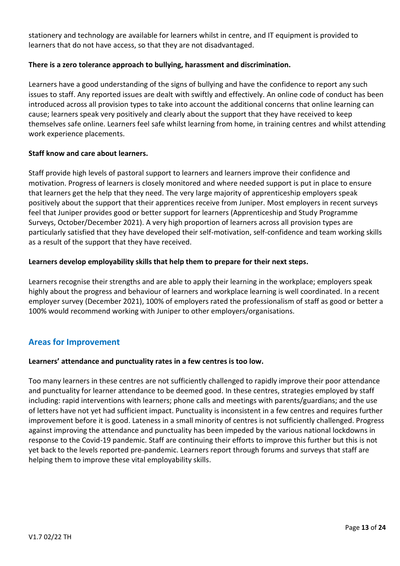stationery and technology are available for learners whilst in centre, and IT equipment is provided to learners that do not have access, so that they are not disadvantaged.

## **There is a zero tolerance approach to bullying, harassment and discrimination.**

Learners have a good understanding of the signs of bullying and have the confidence to report any such issues to staff. Any reported issues are dealt with swiftly and effectively. An online code of conduct has been introduced across all provision types to take into account the additional concerns that online learning can cause; learners speak very positively and clearly about the support that they have received to keep themselves safe online. Learners feel safe whilst learning from home, in training centres and whilst attending work experience placements.

## **Staff know and care about learners.**

Staff provide high levels of pastoral support to learners and learners improve their confidence and motivation. Progress of learners is closely monitored and where needed support is put in place to ensure that learners get the help that they need. The very large majority of apprenticeship employers speak positively about the support that their apprentices receive from Juniper. Most employers in recent surveys feel that Juniper provides good or better support for learners (Apprenticeship and Study Programme Surveys, October/December 2021). A very high proportion of learners across all provision types are particularly satisfied that they have developed their self-motivation, self-confidence and team working skills as a result of the support that they have received.

## **Learners develop employability skills that help them to prepare for their next steps.**

Learners recognise their strengths and are able to apply their learning in the workplace; employers speak highly about the progress and behaviour of learners and workplace learning is well coordinated. In a recent employer survey (December 2021), 100% of employers rated the professionalism of staff as good or better a 100% would recommend working with Juniper to other employers/organisations.

# **Areas for Improvement**

## **Learners' attendance and punctuality rates in a few centres is too low.**

Too many learners in these centres are not sufficiently challenged to rapidly improve their poor attendance and punctuality for learner attendance to be deemed good. In these centres, strategies employed by staff including: rapid interventions with learners; phone calls and meetings with parents/guardians; and the use of letters have not yet had sufficient impact. Punctuality is inconsistent in a few centres and requires further improvement before it is good. Lateness in a small minority of centres is not sufficiently challenged. Progress against improving the attendance and punctuality has been impeded by the various national lockdowns in response to the Covid-19 pandemic. Staff are continuing their efforts to improve this further but this is not yet back to the levels reported pre-pandemic. Learners report through forums and surveys that staff are helping them to improve these vital employability skills.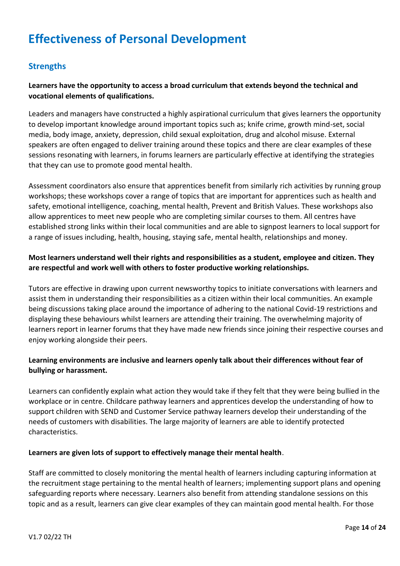# **Effectiveness of Personal Development**

# **Strengths**

## **Learners have the opportunity to access a broad curriculum that extends beyond the technical and vocational elements of qualifications.**

Leaders and managers have constructed a highly aspirational curriculum that gives learners the opportunity to develop important knowledge around important topics such as; knife crime, growth mind-set, social media, body image, anxiety, depression, child sexual exploitation, drug and alcohol misuse. External speakers are often engaged to deliver training around these topics and there are clear examples of these sessions resonating with learners, in forums learners are particularly effective at identifying the strategies that they can use to promote good mental health.

Assessment coordinators also ensure that apprentices benefit from similarly rich activities by running group workshops; these workshops cover a range of topics that are important for apprentices such as health and safety, emotional intelligence, coaching, mental health, Prevent and British Values. These workshops also allow apprentices to meet new people who are completing similar courses to them. All centres have established strong links within their local communities and are able to signpost learners to local support for a range of issues including, health, housing, staying safe, mental health, relationships and money.

## **Most learners understand well their rights and responsibilities as a student, employee and citizen. They are respectful and work well with others to foster productive working relationships.**

Tutors are effective in drawing upon current newsworthy topics to initiate conversations with learners and assist them in understanding their responsibilities as a citizen within their local communities. An example being discussions taking place around the importance of adhering to the national Covid-19 restrictions and displaying these behaviours whilst learners are attending their training. The overwhelming majority of learners report in learner forums that they have made new friends since joining their respective courses and enjoy working alongside their peers.

## **Learning environments are inclusive and learners openly talk about their differences without fear of bullying or harassment.**

Learners can confidently explain what action they would take if they felt that they were being bullied in the workplace or in centre. Childcare pathway learners and apprentices develop the understanding of how to support children with SEND and Customer Service pathway learners develop their understanding of the needs of customers with disabilities. The large majority of learners are able to identify protected characteristics.

#### **Learners are given lots of support to effectively manage their mental health**.

Staff are committed to closely monitoring the mental health of learners including capturing information at the recruitment stage pertaining to the mental health of learners; implementing support plans and opening safeguarding reports where necessary. Learners also benefit from attending standalone sessions on this topic and as a result, learners can give clear examples of they can maintain good mental health. For those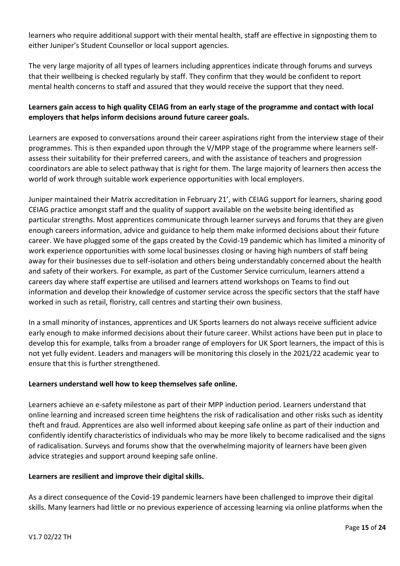learners who require additional support with their mental health, staff are effective in signposting them to either Juniper's Student Counsellor or local support agencies.

The very large majority of all types of learners including apprentices indicate through forums and surveys that their wellbeing is checked regularly by staff. They confirm that they would be confident to report mental health concerns to staff and assured that they would receive the support that they need.

# **Learners gain access to high quality CEIAG from an early stage of the programme and contact with local employers that helps inform decisions around future career goals.**

Learners are exposed to conversations around their career aspirations right from the interview stage of their programmes. This is then expanded upon through the V/MPP stage of the programme where learners selfassess their suitability for their preferred careers, and with the assistance of teachers and progression coordinators are able to select pathway that is right for them. The large majority of learners then access the world of work through suitable work experience opportunities with local employers.

Juniper maintained their Matrix accreditation in February 21', with CEIAG support for learners, sharing good CEIAG practice amongst staff and the quality of support available on the website being identified as particular strengths. Most apprentices communicate through learner surveys and forums that they are given enough careers information, advice and guidance to help them make informed decisions about their future career. We have plugged some of the gaps created by the Covid-19 pandemic which has limited a minority of work experience opportunities with some local businesses closing or having high numbers of staff being away for their businesses due to self-isolation and others being understandably concerned about the health and safety of their workers. For example, as part of the Customer Service curriculum, learners attend a careers day where staff expertise are utilised and learners attend workshops on Teams to find out information and develop their knowledge of customer service across the specific sectors that the staff have worked in such as retail, floristry, call centres and starting their own business.

In a small minority of instances, apprentices and UK Sports learners do not always receive sufficient advice early enough to make informed decisions about their future career. Whilst actions have been put in place to develop this for example, talks from a broader range of employers for UK Sport learners, the impact of this is not yet fully evident. Leaders and managers will be monitoring this closely in the 2021/22 academic year to ensure that this is further strengthened.

## **Learners understand well how to keep themselves safe online.**

Learners achieve an e-safety milestone as part of their MPP induction period. Learners understand that online learning and increased screen time heightens the risk of radicalisation and other risks such as identity theft and fraud. Apprentices are also well informed about keeping safe online as part of their induction and confidently identify characteristics of individuals who may be more likely to become radicalised and the signs of radicalisation. Surveys and forums show that the overwhelming majority of learners have been given advice strategies and support around keeping safe online.

#### **Learners are resilient and improve their digital skills.**

As a direct consequence of the Covid-19 pandemic learners have been challenged to improve their digital skills. Many learners had little or no previous experience of accessing learning via online platforms when the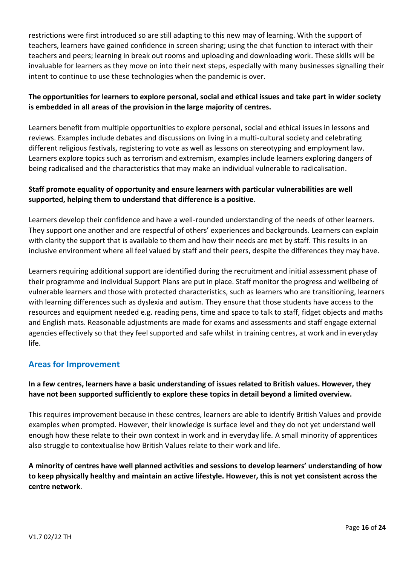restrictions were first introduced so are still adapting to this new may of learning. With the support of teachers, learners have gained confidence in screen sharing; using the chat function to interact with their teachers and peers; learning in break out rooms and uploading and downloading work. These skills will be invaluable for learners as they move on into their next steps, especially with many businesses signalling their intent to continue to use these technologies when the pandemic is over.

# **The opportunities for learners to explore personal, social and ethical issues and take part in wider society is embedded in all areas of the provision in the large majority of centres.**

Learners benefit from multiple opportunities to explore personal, social and ethical issues in lessons and reviews. Examples include debates and discussions on living in a multi-cultural society and celebrating different religious festivals, registering to vote as well as lessons on stereotyping and employment law. Learners explore topics such as terrorism and extremism, examples include learners exploring dangers of being radicalised and the characteristics that may make an individual vulnerable to radicalisation.

# **Staff promote equality of opportunity and ensure learners with particular vulnerabilities are well supported, helping them to understand that difference is a positive**.

Learners develop their confidence and have a well-rounded understanding of the needs of other learners. They support one another and are respectful of others' experiences and backgrounds. Learners can explain with clarity the support that is available to them and how their needs are met by staff. This results in an inclusive environment where all feel valued by staff and their peers, despite the differences they may have.

Learners requiring additional support are identified during the recruitment and initial assessment phase of their programme and individual Support Plans are put in place. Staff monitor the progress and wellbeing of vulnerable learners and those with protected characteristics, such as learners who are transitioning, learners with learning differences such as dyslexia and autism. They ensure that those students have access to the resources and equipment needed e.g. reading pens, time and space to talk to staff, fidget objects and maths and English mats. Reasonable adjustments are made for exams and assessments and staff engage external agencies effectively so that they feel supported and safe whilst in training centres, at work and in everyday life.

# **Areas for Improvement**

# **In a few centres, learners have a basic understanding of issues related to British values. However, they have not been supported sufficiently to explore these topics in detail beyond a limited overview.**

This requires improvement because in these centres, learners are able to identify British Values and provide examples when prompted. However, their knowledge is surface level and they do not yet understand well enough how these relate to their own context in work and in everyday life. A small minority of apprentices also struggle to contextualise how British Values relate to their work and life.

**A minority of centres have well planned activities and sessions to develop learners' understanding of how to keep physically healthy and maintain an active lifestyle. However, this is not yet consistent across the centre network**.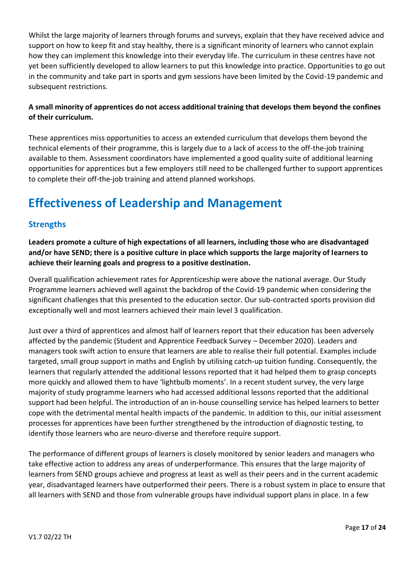Whilst the large majority of learners through forums and surveys, explain that they have received advice and support on how to keep fit and stay healthy, there is a significant minority of learners who cannot explain how they can implement this knowledge into their everyday life. The curriculum in these centres have not yet been sufficiently developed to allow learners to put this knowledge into practice. Opportunities to go out in the community and take part in sports and gym sessions have been limited by the Covid-19 pandemic and subsequent restrictions.

# **A small minority of apprentices do not access additional training that develops them beyond the confines of their curriculum.**

These apprentices miss opportunities to access an extended curriculum that develops them beyond the technical elements of their programme, this is largely due to a lack of access to the off-the-job training available to them. Assessment coordinators have implemented a good quality suite of additional learning opportunities for apprentices but a few employers still need to be challenged further to support apprentices to complete their off-the-job training and attend planned workshops.

# **Effectiveness of Leadership and Management**

# **Strengths**

**Leaders promote a culture of high expectations of all learners, including those who are disadvantaged and/or have SEND; there is a positive culture in place which supports the large majority of learners to achieve their learning goals and progress to a positive destination.**

Overall qualification achievement rates for Apprenticeship were above the national average. Our Study Programme learners achieved well against the backdrop of the Covid-19 pandemic when considering the significant challenges that this presented to the education sector. Our sub-contracted sports provision did exceptionally well and most learners achieved their main level 3 qualification.

Just over a third of apprentices and almost half of learners report that their education has been adversely affected by the pandemic (Student and Apprentice Feedback Survey – December 2020). Leaders and managers took swift action to ensure that learners are able to realise their full potential. Examples include targeted, small group support in maths and English by utilising catch-up tuition funding. Consequently, the learners that regularly attended the additional lessons reported that it had helped them to grasp concepts more quickly and allowed them to have 'lightbulb moments'. In a recent student survey, the very large majority of study programme learners who had accessed additional lessons reported that the additional support had been helpful. The introduction of an in-house counselling service has helped learners to better cope with the detrimental mental health impacts of the pandemic. In addition to this, our initial assessment processes for apprentices have been further strengthened by the introduction of diagnostic testing, to identify those learners who are neuro-diverse and therefore require support.

The performance of different groups of learners is closely monitored by senior leaders and managers who take effective action to address any areas of underperformance. This ensures that the large majority of learners from SEND groups achieve and progress at least as well as their peers and in the current academic year, disadvantaged learners have outperformed their peers. There is a robust system in place to ensure that all learners with SEND and those from vulnerable groups have individual support plans in place. In a few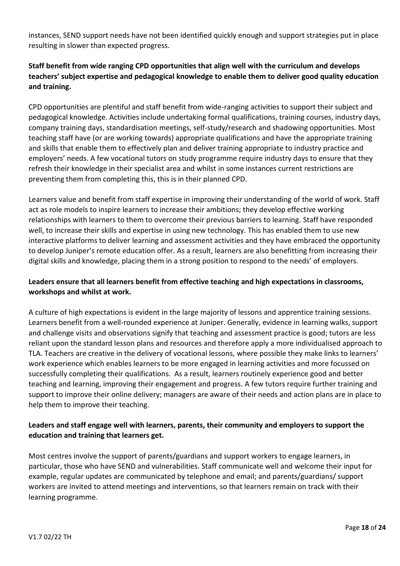instances, SEND support needs have not been identified quickly enough and support strategies put in place resulting in slower than expected progress.

# **Staff benefit from wide ranging CPD opportunities that align well with the curriculum and develops teachers' subject expertise and pedagogical knowledge to enable them to deliver good quality education and training.**

CPD opportunities are plentiful and staff benefit from wide-ranging activities to support their subject and pedagogical knowledge. Activities include undertaking formal qualifications, training courses, industry days, company training days, standardisation meetings, self-study/research and shadowing opportunities. Most teaching staff have (or are working towards) appropriate qualifications and have the appropriate training and skills that enable them to effectively plan and deliver training appropriate to industry practice and employers' needs. A few vocational tutors on study programme require industry days to ensure that they refresh their knowledge in their specialist area and whilst in some instances current restrictions are preventing them from completing this, this is in their planned CPD.

Learners value and benefit from staff expertise in improving their understanding of the world of work. Staff act as role models to inspire learners to increase their ambitions; they develop effective working relationships with learners to them to overcome their previous barriers to learning. Staff have responded well, to increase their skills and expertise in using new technology. This has enabled them to use new interactive platforms to deliver learning and assessment activities and they have embraced the opportunity to develop Juniper's remote education offer. As a result, learners are also benefitting from increasing their digital skills and knowledge, placing them in a strong position to respond to the needs' of employers.

# **Leaders ensure that all learners benefit from effective teaching and high expectations in classrooms, workshops and whilst at work.**

A culture of high expectations is evident in the large majority of lessons and apprentice training sessions. Learners benefit from a well-rounded experience at Juniper. Generally, evidence in learning walks, support and challenge visits and observations signify that teaching and assessment practice is good; tutors are less reliant upon the standard lesson plans and resources and therefore apply a more individualised approach to TLA. Teachers are creative in the delivery of vocational lessons, where possible they make links to learners' work experience which enables learners to be more engaged in learning activities and more focussed on successfully completing their qualifications. As a result, learners routinely experience good and better teaching and learning, improving their engagement and progress. A few tutors require further training and support to improve their online delivery; managers are aware of their needs and action plans are in place to help them to improve their teaching.

# **Leaders and staff engage well with learners, parents, their community and employers to support the education and training that learners get.**

Most centres involve the support of parents/guardians and support workers to engage learners, in particular, those who have SEND and vulnerabilities. Staff communicate well and welcome their input for example, regular updates are communicated by telephone and email; and parents/guardians/ support workers are invited to attend meetings and interventions, so that learners remain on track with their learning programme.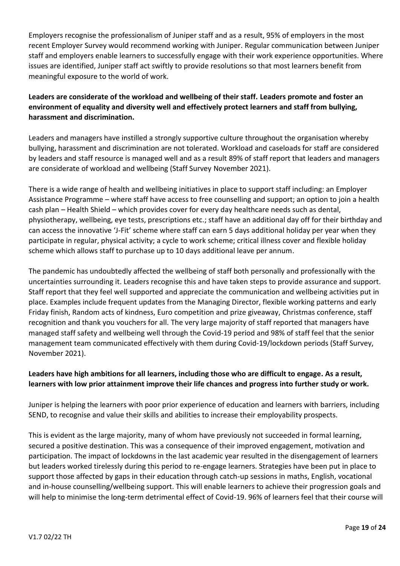Employers recognise the professionalism of Juniper staff and as a result, 95% of employers in the most recent Employer Survey would recommend working with Juniper. Regular communication between Juniper staff and employers enable learners to successfully engage with their work experience opportunities. Where issues are identified, Juniper staff act swiftly to provide resolutions so that most learners benefit from meaningful exposure to the world of work.

# **Leaders are considerate of the workload and wellbeing of their staff. Leaders promote and foster an environment of equality and diversity well and effectively protect learners and staff from bullying, harassment and discrimination.**

Leaders and managers have instilled a strongly supportive culture throughout the organisation whereby bullying, harassment and discrimination are not tolerated. Workload and caseloads for staff are considered by leaders and staff resource is managed well and as a result 89% of staff report that leaders and managers are considerate of workload and wellbeing (Staff Survey November 2021).

There is a wide range of health and wellbeing initiatives in place to support staff including: an Employer Assistance Programme – where staff have access to free counselling and support; an option to join a health cash plan – Health Shield – which provides cover for every day healthcare needs such as dental, physiotherapy, wellbeing, eye tests, prescriptions etc.; staff have an additional day off for their birthday and can access the innovative 'J-Fit' scheme where staff can earn 5 days additional holiday per year when they participate in regular, physical activity; a cycle to work scheme; critical illness cover and flexible holiday scheme which allows staff to purchase up to 10 days additional leave per annum.

The pandemic has undoubtedly affected the wellbeing of staff both personally and professionally with the uncertainties surrounding it. Leaders recognise this and have taken steps to provide assurance and support. Staff report that they feel well supported and appreciate the communication and wellbeing activities put in place. Examples include frequent updates from the Managing Director, flexible working patterns and early Friday finish, Random acts of kindness, Euro competition and prize giveaway, Christmas conference, staff recognition and thank you vouchers for all. The very large majority of staff reported that managers have managed staff safety and wellbeing well through the Covid-19 period and 98% of staff feel that the senior management team communicated effectively with them during Covid-19/lockdown periods (Staff Survey, November 2021).

# **Leaders have high ambitions for all learners, including those who are difficult to engage. As a result, learners with low prior attainment improve their life chances and progress into further study or work.**

Juniper is helping the learners with poor prior experience of education and learners with barriers, including SEND, to recognise and value their skills and abilities to increase their employability prospects.

This is evident as the large majority, many of whom have previously not succeeded in formal learning, secured a positive destination. This was a consequence of their improved engagement, motivation and participation. The impact of lockdowns in the last academic year resulted in the disengagement of learners but leaders worked tirelessly during this period to re-engage learners. Strategies have been put in place to support those affected by gaps in their education through catch-up sessions in maths, English, vocational and in-house counselling/wellbeing support. This will enable learners to achieve their progression goals and will help to minimise the long-term detrimental effect of Covid-19. 96% of learners feel that their course will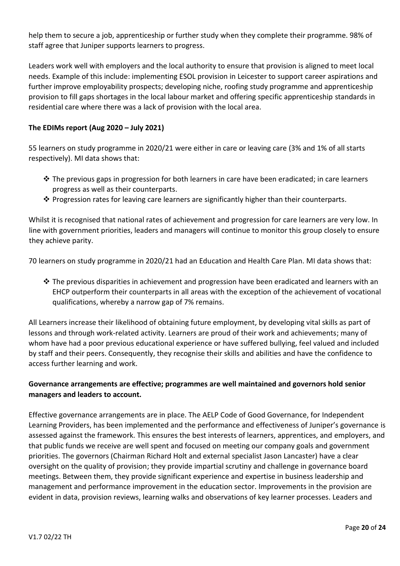help them to secure a job, apprenticeship or further study when they complete their programme. 98% of staff agree that Juniper supports learners to progress.

Leaders work well with employers and the local authority to ensure that provision is aligned to meet local needs. Example of this include: implementing ESOL provision in Leicester to support career aspirations and further improve employability prospects; developing niche, roofing study programme and apprenticeship provision to fill gaps shortages in the local labour market and offering specific apprenticeship standards in residential care where there was a lack of provision with the local area.

#### **The EDIMs report (Aug 2020 – July 2021)**

55 learners on study programme in 2020/21 were either in care or leaving care (3% and 1% of all starts respectively). MI data shows that:

- ◆ The previous gaps in progression for both learners in care have been eradicated; in care learners progress as well as their counterparts.
- ❖ Progression rates for leaving care learners are significantly higher than their counterparts.

Whilst it is recognised that national rates of achievement and progression for care learners are very low. In line with government priorities, leaders and managers will continue to monitor this group closely to ensure they achieve parity.

70 learners on study programme in 2020/21 had an Education and Health Care Plan. MI data shows that:

◆ The previous disparities in achievement and progression have been eradicated and learners with an EHCP outperform their counterparts in all areas with the exception of the achievement of vocational qualifications, whereby a narrow gap of 7% remains.

All Learners increase their likelihood of obtaining future employment, by developing vital skills as part of lessons and through work-related activity. Learners are proud of their work and achievements; many of whom have had a poor previous educational experience or have suffered bullying, feel valued and included by staff and their peers. Consequently, they recognise their skills and abilities and have the confidence to access further learning and work.

# **Governance arrangements are effective; programmes are well maintained and governors hold senior managers and leaders to account.**

Effective governance arrangements are in place. The AELP Code of Good Governance, for Independent Learning Providers, has been implemented and the performance and effectiveness of Juniper's governance is assessed against the framework. This ensures the best interests of learners, apprentices, and employers, and that public funds we receive are well spent and focused on meeting our company goals and government priorities. The governors (Chairman Richard Holt and external specialist Jason Lancaster) have a clear oversight on the quality of provision; they provide impartial scrutiny and challenge in governance board meetings. Between them, they provide significant experience and expertise in business leadership and management and performance improvement in the education sector. Improvements in the provision are evident in data, provision reviews, learning walks and observations of key learner processes. Leaders and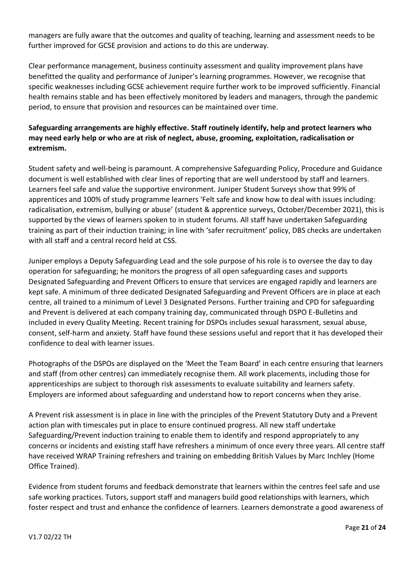managers are fully aware that the outcomes and quality of teaching, learning and assessment needs to be further improved for GCSE provision and actions to do this are underway.

Clear performance management, business continuity assessment and quality improvement plans have benefitted the quality and performance of Juniper's learning programmes. However, we recognise that specific weaknesses including GCSE achievement require further work to be improved sufficiently. Financial health remains stable and has been effectively monitored by leaders and managers, through the pandemic period, to ensure that provision and resources can be maintained over time.

# **Safeguarding arrangements are highly effective. Staff routinely identify, help and protect learners who may need early help or who are at risk of neglect, abuse, grooming, exploitation, radicalisation or extremism.**

Student safety and well-being is paramount. A comprehensive Safeguarding Policy, Procedure and Guidance document is well established with clear lines of reporting that are well understood by staff and learners. Learners feel safe and value the supportive environment. Juniper Student Surveys show that 99% of apprentices and 100% of study programme learners 'Felt safe and know how to deal with issues including: radicalisation, extremism, bullying or abuse' (student & apprentice surveys, October/December 2021), this is supported by the views of learners spoken to in student forums. All staff have undertaken Safeguarding training as part of their induction training; in line with 'safer recruitment' policy, DBS checks are undertaken with all staff and a central record held at CSS.

Juniper employs a Deputy Safeguarding Lead and the sole purpose of his role is to oversee the day to day operation for safeguarding; he monitors the progress of all open safeguarding cases and supports Designated Safeguarding and Prevent Officers to ensure that services are engaged rapidly and learners are kept safe. A minimum of three dedicated Designated Safeguarding and Prevent Officers are in place at each centre, all trained to a minimum of Level 3 Designated Persons. Further training and CPD for safeguarding and Prevent is delivered at each company training day, communicated through DSPO E-Bulletins and included in every Quality Meeting. Recent training for DSPOs includes sexual harassment, sexual abuse, consent, self-harm and anxiety. Staff have found these sessions useful and report that it has developed their confidence to deal with learner issues.

Photographs of the DSPOs are displayed on the 'Meet the Team Board' in each centre ensuring that learners and staff (from other centres) can immediately recognise them. All work placements, including those for apprenticeships are subject to thorough risk assessments to evaluate suitability and learners safety. Employers are informed about safeguarding and understand how to report concerns when they arise.

A Prevent risk assessment is in place in line with the principles of the Prevent Statutory Duty and a Prevent action plan with timescales put in place to ensure continued progress. All new staff undertake Safeguarding/Prevent induction training to enable them to identify and respond appropriately to any concerns or incidents and existing staff have refreshers a minimum of once every three years. All centre staff have received WRAP Training refreshers and training on embedding British Values by Marc Inchley (Home Office Trained).

Evidence from student forums and feedback demonstrate that learners within the centres feel safe and use safe working practices. Tutors, support staff and managers build good relationships with learners, which foster respect and trust and enhance the confidence of learners. Learners demonstrate a good awareness of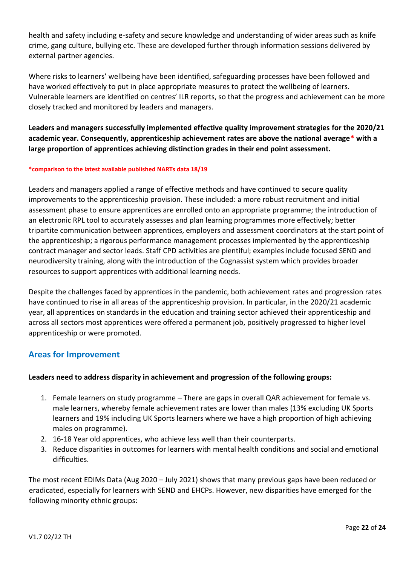health and safety including e-safety and secure knowledge and understanding of wider areas such as knife crime, gang culture, bullying etc. These are developed further through information sessions delivered by external partner agencies.

Where risks to learners' wellbeing have been identified, safeguarding processes have been followed and have worked effectively to put in place appropriate measures to protect the wellbeing of learners. Vulnerable learners are identified on centres' ILR reports, so that the progress and achievement can be more closely tracked and monitored by leaders and managers.

**Leaders and managers successfully implemented effective quality improvement strategies for the 2020/21 academic year. Consequently, apprenticeship achievement rates are above the national average\* with a large proportion of apprentices achieving distinction grades in their end point assessment.** 

#### **\*comparison to the latest available published NARTs data 18/19**

Leaders and managers applied a range of effective methods and have continued to secure quality improvements to the apprenticeship provision. These included: a more robust recruitment and initial assessment phase to ensure apprentices are enrolled onto an appropriate programme; the introduction of an electronic RPL tool to accurately assesses and plan learning programmes more effectively; better tripartite communication between apprentices, employers and assessment coordinators at the start point of the apprenticeship; a rigorous performance management processes implemented by the apprenticeship contract manager and sector leads. Staff CPD activities are plentiful; examples include focused SEND and neurodiversity training, along with the introduction of the Cognassist system which provides broader resources to support apprentices with additional learning needs.

Despite the challenges faced by apprentices in the pandemic, both achievement rates and progression rates have continued to rise in all areas of the apprenticeship provision. In particular, in the 2020/21 academic year, all apprentices on standards in the education and training sector achieved their apprenticeship and across all sectors most apprentices were offered a permanent job, positively progressed to higher level apprenticeship or were promoted.

# **Areas for Improvement**

## **Leaders need to address disparity in achievement and progression of the following groups:**

- 1. Female learners on study programme There are gaps in overall QAR achievement for female vs. male learners, whereby female achievement rates are lower than males (13% excluding UK Sports learners and 19% including UK Sports learners where we have a high proportion of high achieving males on programme).
- 2. 16-18 Year old apprentices, who achieve less well than their counterparts.
- 3. Reduce disparities in outcomes for learners with mental health conditions and social and emotional difficulties.

The most recent EDIMs Data (Aug 2020 – July 2021) shows that many previous gaps have been reduced or eradicated, especially for learners with SEND and EHCPs. However, new disparities have emerged for the following minority ethnic groups: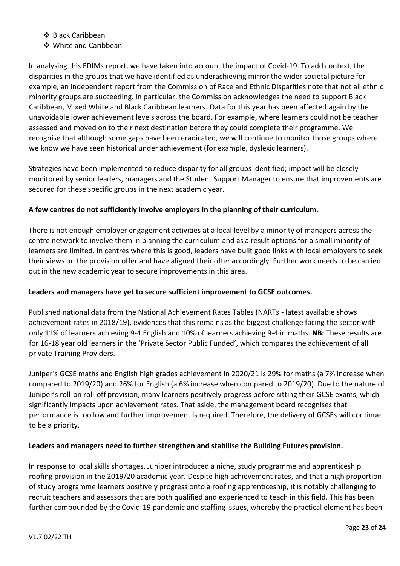- ❖ Black Caribbean
- ❖ White and Caribbean

In analysing this EDIMs report, we have taken into account the impact of Covid-19. To add context, the disparities in the groups that we have identified as underachieving mirror the wider societal picture for example, an independent report from the Commission of Race and Ethnic Disparities note that not all ethnic minority groups are succeeding. In particular, the Commission acknowledges the need to support Black Caribbean, Mixed White and Black Caribbean learners. Data for this year has been affected again by the unavoidable lower achievement levels across the board. For example, where learners could not be teacher assessed and moved on to their next destination before they could complete their programme. We recognise that although some gaps have been eradicated, we will continue to monitor those groups where we know we have seen historical under achievement (for example, dyslexic learners).

Strategies have been implemented to reduce disparity for all groups identified; impact will be closely monitored by senior leaders, managers and the Student Support Manager to ensure that improvements are secured for these specific groups in the next academic year.

# **A few centres do not sufficiently involve employers in the planning of their curriculum.**

There is not enough employer engagement activities at a local level by a minority of managers across the centre network to involve them in planning the curriculum and as a result options for a small minority of learners are limited. In centres where this is good, leaders have built good links with local employers to seek their views on the provision offer and have aligned their offer accordingly. Further work needs to be carried out in the new academic year to secure improvements in this area.

## **Leaders and managers have yet to secure sufficient improvement to GCSE outcomes.**

Published national data from the National Achievement Rates Tables (NARTs - latest available shows achievement rates in 2018/19), evidences that this remains as the biggest challenge facing the sector with only 11% of learners achieving 9-4 English and 10% of learners achieving 9-4 in maths. **NB:** These results are for 16-18 year old learners in the 'Private Sector Public Funded', which compares the achievement of all private Training Providers.

Juniper's GCSE maths and English high grades achievement in 2020/21 is 29% for maths (a 7% increase when compared to 2019/20) and 26% for English (a 6% increase when compared to 2019/20). Due to the nature of Juniper's roll-on roll-off provision, many learners positively progress before sitting their GCSE exams, which significantly impacts upon achievement rates. That aside, the management board recognises that performance is too low and further improvement is required. Therefore, the delivery of GCSEs will continue to be a priority.

## **Leaders and managers need to further strengthen and stabilise the Building Futures provision.**

In response to local skills shortages, Juniper introduced a niche, study programme and apprenticeship roofing provision in the 2019/20 academic year. Despite high achievement rates, and that a high proportion of study programme learners positively progress onto a roofing apprenticeship, it is notably challenging to recruit teachers and assessors that are both qualified and experienced to teach in this field. This has been further compounded by the Covid-19 pandemic and staffing issues, whereby the practical element has been